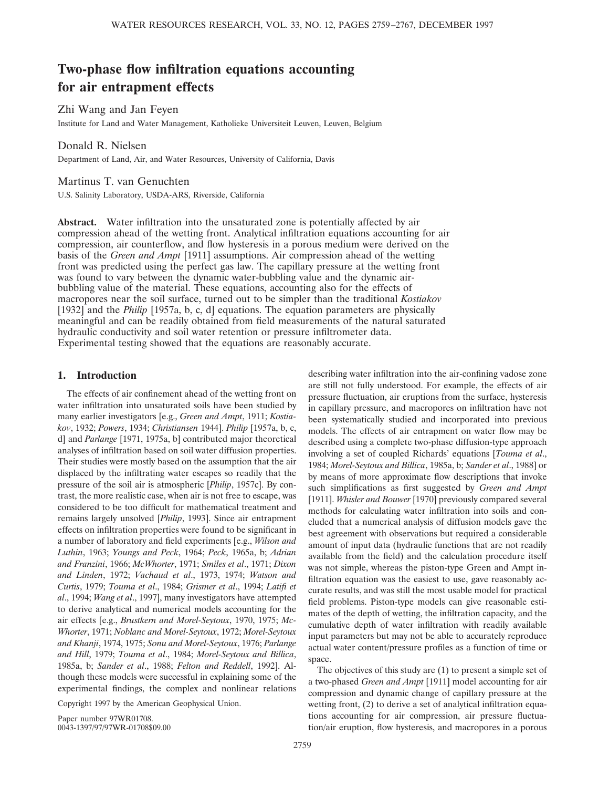# **Two-phase flow infiltration equations accounting for air entrapment effects**

Zhi Wang and Jan Feyen Institute for Land and Water Management, Katholieke Universiteit Leuven, Leuven, Belgium

Donald R. Nielsen Department of Land, Air, and Water Resources, University of California, Davis

# Martinus T. van Genuchten

U.S. Salinity Laboratory, USDA-ARS, Riverside, California

**Abstract.** Water infiltration into the unsaturated zone is potentially affected by air compression ahead of the wetting front. Analytical infiltration equations accounting for air compression, air counterflow, and flow hysteresis in a porous medium were derived on the basis of the *Green and Ampt* [1911] assumptions. Air compression ahead of the wetting front was predicted using the perfect gas law. The capillary pressure at the wetting front was found to vary between the dynamic water-bubbling value and the dynamic airbubbling value of the material. These equations, accounting also for the effects of macropores near the soil surface, turned out to be simpler than the traditional *Kostiakov* [1932] and the *Philip* [1957a, b, c, d] equations. The equation parameters are physically meaningful and can be readily obtained from field measurements of the natural saturated hydraulic conductivity and soil water retention or pressure infiltrometer data. Experimental testing showed that the equations are reasonably accurate.

# **1. Introduction**

The effects of air confinement ahead of the wetting front on water infiltration into unsaturated soils have been studied by many earlier investigators [e.g., *Green and Ampt*, 1911; *Kostiakov*, 1932; *Powers*, 1934; *Christiansen* 1944]. *Philip* [1957a, b, c, d] and *Parlange* [1971, 1975a, b] contributed major theoretical analyses of infiltration based on soil water diffusion properties. Their studies were mostly based on the assumption that the air displaced by the infiltrating water escapes so readily that the pressure of the soil air is atmospheric [*Philip*, 1957c]. By contrast, the more realistic case, when air is not free to escape, was considered to be too difficult for mathematical treatment and remains largely unsolved [*Philip*, 1993]. Since air entrapment effects on infiltration properties were found to be significant in a number of laboratory and field experiments [e.g., *Wilson and Luthin*, 1963; *Youngs and Peck*, 1964; *Peck*, 1965a, b; *Adrian and Franzini*, 1966; *McWhorter*, 1971; *Smiles et al*., 1971; *Dixon and Linden*, 1972; *Vachaud et al*., 1973, 1974; *Watson and Curtis*, 1979; *Touma et al*., 1984; *Grismer et al*., 1994; *Latifi et al*., 1994; *Wang et al*., 1997], many investigators have attempted to derive analytical and numerical models accounting for the air effects [e.g., *Brustkern and Morel-Seytoux*, 1970, 1975; *Mc-Whorter*, 1971; *Noblanc and Morel-Seytoux*, 1972; *Morel-Seytoux and Khanji*, 1974, 1975; *Sonu and Morel-Seytoux*, 1976; *Parlange and Hill*, 1979; *Touma et al*., 1984; *Morel-Seytoux and Billica*, 1985a, b; *Sander et al*., 1988; *Felton and Reddell*, 1992]. Although these models were successful in explaining some of the experimental findings, the complex and nonlinear relations

Copyright 1997 by the American Geophysical Union.

Paper number 97WR01708. 0043-1397/97/97WR-01708\$09.00 describing water infiltration into the air-confining vadose zone are still not fully understood. For example, the effects of air pressure fluctuation, air eruptions from the surface, hysteresis in capillary pressure, and macropores on infiltration have not been systematically studied and incorporated into previous models. The effects of air entrapment on water flow may be described using a complete two-phase diffusion-type approach involving a set of coupled Richards' equations [*Touma et al*., 1984; *Morel-Seytoux and Billica*, 1985a, b; *Sander et al*., 1988] or by means of more approximate flow descriptions that invoke such simplifications as first suggested by *Green and Ampt* [1911]. *Whisler and Bouwer* [1970] previously compared several methods for calculating water infiltration into soils and concluded that a numerical analysis of diffusion models gave the best agreement with observations but required a considerable amount of input data (hydraulic functions that are not readily available from the field) and the calculation procedure itself was not simple, whereas the piston-type Green and Ampt infiltration equation was the easiest to use, gave reasonably accurate results, and was still the most usable model for practical field problems. Piston-type models can give reasonable estimates of the depth of wetting, the infiltration capacity, and the cumulative depth of water infiltration with readily available input parameters but may not be able to accurately reproduce actual water content/pressure profiles as a function of time or space.

The objectives of this study are (1) to present a simple set of a two-phased *Green and Ampt* [1911] model accounting for air compression and dynamic change of capillary pressure at the wetting front, (2) to derive a set of analytical infiltration equations accounting for air compression, air pressure fluctuation/air eruption, flow hysteresis, and macropores in a porous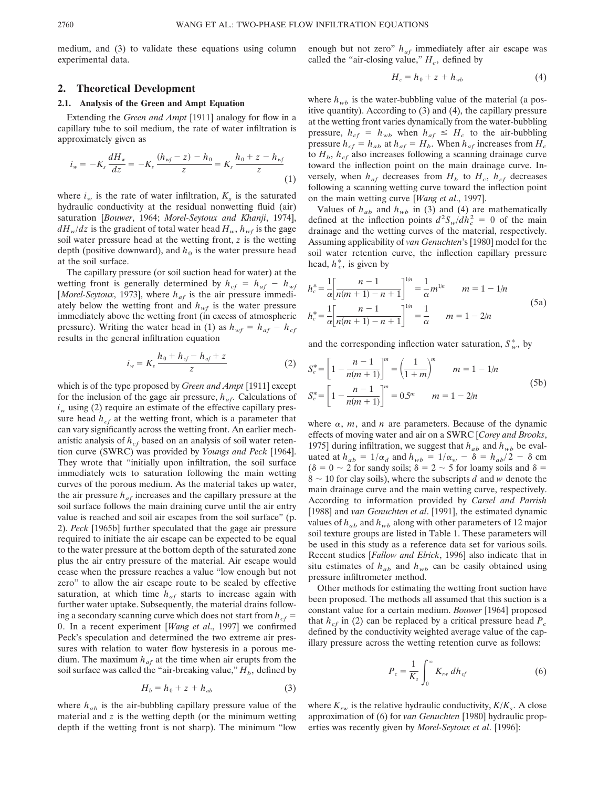medium, and (3) to validate these equations using column experimental data.

## **2. Theoretical Development**

### **2.1. Analysis of the Green and Ampt Equation**

Extending the *Green and Ampt* [1911] analogy for flow in a capillary tube to soil medium, the rate of water infiltration is approximately given as

$$
i_w = -K_s \frac{dH_w}{dz} = -K_s \frac{(h_{wf} - z) - h_0}{z} = K_s \frac{h_0 + z - h_{wf}}{z}
$$
\n(1)

where  $i_w$  is the rate of water infiltration,  $K_s$  is the saturated hydraulic conductivity at the residual nonwetting fluid (air) saturation [*Bouwer*, 1964; *Morel-Seytoux and Khanji*, 1974],  $dH_w/dz$  is the gradient of total water head  $H_w$ ,  $h_{wf}$  is the gage soil water pressure head at the wetting front, *z* is the wetting depth (positive downward), and  $h_0$  is the water pressure head at the soil surface.

The capillary pressure (or soil suction head for water) at the wetting front is generally determined by  $h_{cf} = h_{af} - h_{wf}$ [*Morel-Seytoux*, 1973], where  $h_{af}$  is the air pressure immediately below the wetting front and  $h_{wf}$  is the water pressure immediately above the wetting front (in excess of atmospheric pressure). Writing the water head in (1) as  $h_{wf} = h_{af} - h_{cf}$ results in the general infiltration equation

$$
i_w = K_s \frac{h_0 + h_{cf} - h_{af} + z}{z}
$$
 (2)

which is of the type proposed by *Green and Ampt* [1911] except for the inclusion of the gage air pressure,  $h_{af}$ . Calculations of  $i_w$  using (2) require an estimate of the effective capillary pressure head  $h_{cf}$  at the wetting front, which is a parameter that can vary significantly across the wetting front. An earlier mechanistic analysis of  $h<sub>cf</sub>$  based on an analysis of soil water retention curve (SWRC) was provided by *Youngs and Peck* [1964]. They wrote that "initially upon infiltration, the soil surface immediately wets to saturation following the main wetting curves of the porous medium. As the material takes up water, the air pressure  $h_{af}$  increases and the capillary pressure at the soil surface follows the main draining curve until the air entry value is reached and soil air escapes from the soil surface" (p. 2). *Peck* [1965b] further speculated that the gage air pressure required to initiate the air escape can be expected to be equal to the water pressure at the bottom depth of the saturated zone plus the air entry pressure of the material. Air escape would cease when the pressure reaches a value "low enough but not zero" to allow the air escape route to be sealed by effective saturation, at which time  $h_{af}$  starts to increase again with further water uptake. Subsequently, the material drains following a secondary scanning curve which does not start from  $h_{cf}$  = 0. In a recent experiment [*Wang et al*., 1997] we confirmed Peck's speculation and determined the two extreme air pressures with relation to water flow hysteresis in a porous medium. The maximum  $h_{af}$  at the time when air erupts from the soil surface was called the "air-breaking value,"  $H_b$ , defined by

$$
H_b = h_0 + z + h_{ab} \tag{3}
$$

where  $h_{ab}$  is the air-bubbling capillary pressure value of the material and *z* is the wetting depth (or the minimum wetting depth if the wetting front is not sharp). The minimum "low

enough but not zero"  $h_{af}$  immediately after air escape was called the "air-closing value,"  $H_c$ , defined by

$$
H_c = h_0 + z + h_{wb} \tag{4}
$$

where  $h_{wb}$  is the water-bubbling value of the material (a positive quantity). According to (3) and (4), the capillary pressure at the wetting front varies dynamically from the water-bubbling pressure,  $h_{cf} = h_{wb}$  when  $h_{af} \leq H_c$  to the air-bubbling pressure  $h_{cf} = h_{ab}$  at  $h_{af} = H_b$ . When  $h_{af}$  increases from  $H_c$ to  $H_b$ ,  $h_{cf}$  also increases following a scanning drainage curve toward the inflection point on the main drainage curve. Inversely, when  $h_{af}$  decreases from  $H_b$  to  $H_c$ ,  $h_{cf}$  decreases following a scanning wetting curve toward the inflection point on the main wetting curve [*Wang et al*., 1997].

Values of  $h_{ab}$  and  $h_{wb}$  in (3) and (4) are mathematically defined at the inflection points  $d^2S_w/dh_c^2 = 0$  of the main drainage and the wetting curves of the material, respectively. Assuming applicability of *van Genuchten*'s [1980] model for the soil water retention curve, the inflection capillary pressure head,  $h_c^*$ , is given by

$$
h_c^* = \frac{1}{\alpha} \left[ \frac{n-1}{n(m+1)-n+1} \right]^{1/n} = \frac{1}{\alpha} m^{1/n} \qquad m = 1 - 1/n
$$
  

$$
h_c^* = \frac{1}{\alpha} \left[ \frac{n-1}{n(m+1)-n+1} \right]^{1/n} = \frac{1}{\alpha} \qquad m = 1 - 2/n
$$
  
(5a)

and the corresponding inflection water saturation,  $S^*_{\nu}$ , by

$$
S_e^* = \left[1 - \frac{n-1}{n(m+1)}\right]^m = \left(\frac{1}{1+m}\right)^m \qquad m = 1 - 1/n
$$
  
\n
$$
S_e^* = \left[1 - \frac{n-1}{n(m+1)}\right]^m = 0.5^m \qquad m = 1 - 2/n
$$
\n(5b)

where  $\alpha$ ,  $m$ , and  $n$  are parameters. Because of the dynamic effects of moving water and air on a SWRC [*Corey and Brooks*, 1975] during infiltration, we suggest that  $h_{ab}$  and  $h_{wb}$  be evaluated at  $h_{ab} = 1/\alpha_d$  and  $h_{wb} = 1/\alpha_w - \delta = h_{ab}/2 - \delta$  cm  $(\delta = 0 \sim 2$  for sandy soils;  $\delta = 2 \sim 5$  for loamy soils and  $\delta =$  $8 \sim 10$  for clay soils), where the subscripts *d* and *w* denote the main drainage curve and the main wetting curve, respectively. According to information provided by *Carsel and Parrish* [1988] and *van Genuchten et al.* [1991], the estimated dynamic values of  $h_{ab}$  and  $h_{wb}$  along with other parameters of 12 major soil texture groups are listed in Table 1. These parameters will be used in this study as a reference data set for various soils. Recent studies [*Fallow and Elrick*, 1996] also indicate that in situ estimates of  $h_{ab}$  and  $h_{wb}$  can be easily obtained using pressure infiltrometer method.

Other methods for estimating the wetting front suction have been proposed. The methods all assumed that this suction is a constant value for a certain medium. *Bouwer* [1964] proposed that  $h_{cf}$  in (2) can be replaced by a critical pressure head  $P_c$ defined by the conductivity weighted average value of the capillary pressure across the wetting retention curve as follows:

$$
P_c = \frac{1}{K_s} \int_0^\infty K_{rw} \, dh_{cf} \tag{6}
$$

where  $K_{rw}$  is the relative hydraulic conductivity,  $K/K_s$ . A close approximation of (6) for *van Genuchten* [1980] hydraulic properties was recently given by *Morel-Seytoux et al*. [1996]: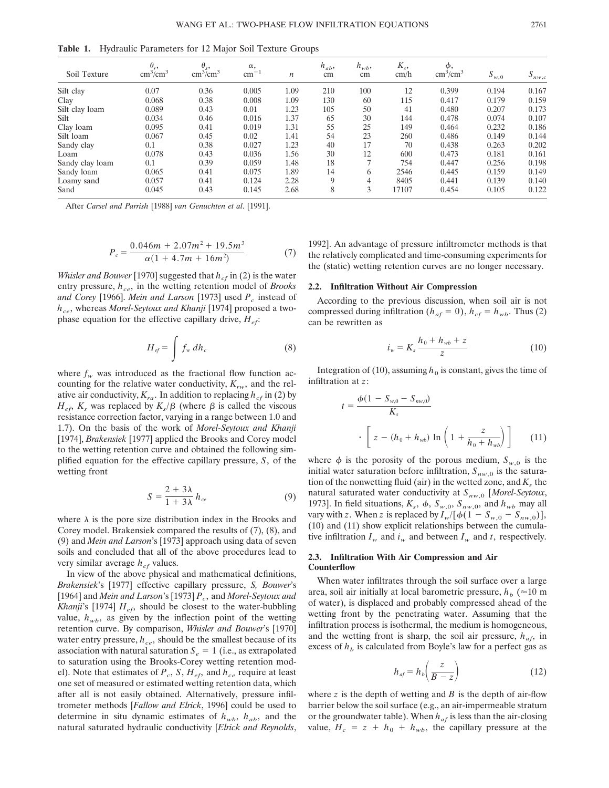**Table 1.** Hydraulic Parameters for 12 Major Soil Texture Groups

| Soil Texture    | $\theta_r$<br>$\text{cm}^3/\text{cm}^3$ | $\theta_s$<br>$\text{cm}^3/\text{cm}^3$ | $\alpha$ ,<br>$\rm cm^{-1}$ | $\boldsymbol{n}$ | $h_{ab}$ ,<br>cm | $h_{wb}$<br>cm | $K_s$<br>cm/h | φ,<br>$\text{cm}^3/\text{cm}^3$ | $S_{w,0}$ | $S_{nw,c}$ |
|-----------------|-----------------------------------------|-----------------------------------------|-----------------------------|------------------|------------------|----------------|---------------|---------------------------------|-----------|------------|
| Silt clay       | 0.07                                    | 0.36                                    | 0.005                       | 1.09             | 210              | 100            | 12            | 0.399                           | 0.194     | 0.167      |
| Clay            | 0.068                                   | 0.38                                    | 0.008                       | 1.09             | 130              | 60             | 115           | 0.417                           | 0.179     | 0.159      |
| Silt clay loam  | 0.089                                   | 0.43                                    | 0.01                        | 1.23             | 105              | 50             | 41            | 0.480                           | 0.207     | 0.173      |
| Silt            | 0.034                                   | 0.46                                    | 0.016                       | 1.37             | 65               | 30             | 144           | 0.478                           | 0.074     | 0.107      |
| Clay loam       | 0.095                                   | 0.41                                    | 0.019                       | 1.31             | 55               | 25             | 149           | 0.464                           | 0.232     | 0.186      |
| Silt loam       | 0.067                                   | 0.45                                    | 0.02                        | 1.41             | 54               | 23             | 260           | 0.486                           | 0.149     | 0.144      |
| Sandy clay      | 0.1                                     | 0.38                                    | 0.027                       | 1.23             | 40               | 17             | 70            | 0.438                           | 0.263     | 0.202      |
| Loam            | 0.078                                   | 0.43                                    | 0.036                       | 1.56             | 30               | 12             | 600           | 0.473                           | 0.181     | 0.161      |
| Sandy clay loam | 0.1                                     | 0.39                                    | 0.059                       | 1.48             | 18               | $\overline{ }$ | 754           | 0.447                           | 0.256     | 0.198      |
| Sandy loam      | 0.065                                   | 0.41                                    | 0.075                       | 1.89             | 14               | 6              | 2546          | 0.445                           | 0.159     | 0.149      |
| Loamy sand      | 0.057                                   | 0.41                                    | 0.124                       | 2.28             | 9                | 4              | 8405          | 0.441                           | 0.139     | 0.140      |
| Sand            | 0.045                                   | 0.43                                    | 0.145                       | 2.68             | 8                | 3              | 17107         | 0.454                           | 0.105     | 0.122      |

After *Carsel and Parrish* [1988] *van Genuchten et al*. [1991].

$$
P_c = \frac{0.046m + 2.07m^2 + 19.5m^3}{\alpha(1 + 4.7m + 16m^2)}
$$
(7)

*Whisler and Bouwer* [1970] suggested that  $h_{cf}$  in (2) is the water entry pressure,  $h_{ce}$ , in the wetting retention model of *Brooks and Corey* [1966]. *Mein and Larson* [1973] used *Pc* instead of *hce*, whereas *Morel-Seytoux and Khanji* [1974] proposed a twophase equation for the effective capillary drive, *Hef*:

$$
H_{ef} = \int f_w dh_c \tag{8}
$$

where  $f_w$  was introduced as the fractional flow function accounting for the relative water conductivity,  $K_{rw}$ , and the relative air conductivity,  $K_{ra}$ . In addition to replacing  $h_{cf}$  in (2) by  $H_{ef}$ ,  $K_s$  was replaced by  $K_s/\beta$  (where  $\beta$  is called the viscous resistance correction factor, varying in a range between 1.0 and 1.7). On the basis of the work of *Morel-Seytoux and Khanji* [1974], *Brakensiek* [1977] applied the Brooks and Corey model to the wetting retention curve and obtained the following simplified equation for the effective capillary pressure, *S*, of the wetting front

$$
S = \frac{2 + 3\lambda}{1 + 3\lambda} h_{ce}
$$
 (9)

where  $\lambda$  is the pore size distribution index in the Brooks and Corey model. Brakensiek compared the results of (7), (8), and (9) and *Mein and Larson*'s [1973] approach using data of seven soils and concluded that all of the above procedures lead to very similar average  $h_{cf}$  values.

In view of the above physical and mathematical definitions, *Brakensiek*'s [1977] effective capillary pressure, *S, Bouwer*'s [1964] and *Mein and Larson*'s [1973]  $P_c$ , and *Morel-Seytoux and Khanji*'s [1974]  $H_{ef}$ , should be closest to the water-bubbling value,  $h_{wb}$ , as given by the inflection point of the wetting retention curve. By comparison, *Whisler and Bouwer*'s [1970] water entry pressure,  $h_{ce}$ , should be the smallest because of its association with natural saturation  $S_e = 1$  (i.e., as extrapolated to saturation using the Brooks-Corey wetting retention model). Note that estimates of  $P_c$ , *S*,  $H_{ef}$ , and  $h_{ce}$  require at least one set of measured or estimated wetting retention data, which after all is not easily obtained. Alternatively, pressure infiltrometer methods [*Fallow and Elrick*, 1996] could be used to determine in situ dynamic estimates of  $h_{wb}$ ,  $h_{ab}$ , and the natural saturated hydraulic conductivity [*Elrick and Reynolds*,

1992]. An advantage of pressure infiltrometer methods is that the relatively complicated and time-consuming experiments for the (static) wetting retention curves are no longer necessary.

#### **2.2. Infiltration Without Air Compression**

According to the previous discussion, when soil air is not compressed during infiltration ( $h_{af} = 0$ ),  $h_{cf} = h_{wb}$ . Thus (2) can be rewritten as

$$
i_w = K_s \frac{h_0 + h_{wb} + z}{z}
$$
 (10)

Integration of (10), assuming  $h_0$  is constant, gives the time of infiltration at *z*:

$$
t = \frac{\phi(1 - S_{w,0} - S_{nw,0})}{K_s}
$$

$$
\cdot \left[ z - (h_0 + h_{wb}) \ln \left( 1 + \frac{z}{h_0 + h_{wb}} \right) \right]
$$
(11)

where  $\phi$  is the porosity of the porous medium,  $S_{w,0}$  is the initial water saturation before infiltration,  $S_{nw,0}$  is the saturation of the nonwetting fluid (air) in the wetted zone, and  $K<sub>s</sub>$  the natural saturated water conductivity at  $S_{nw,0}$  [Morel-Seytoux, 1973]. In field situations,  $K_s$ ,  $\phi$ ,  $S_{w,0}$ ,  $S_{nw,0}$ , and  $h_{wb}$  may all vary with *z*. When *z* is replaced by  $I_w/[\phi(1 - S_{w,0} - S_{nw,0})],$ (10) and (11) show explicit relationships between the cumulative infiltration  $I_w$  and  $i_w$  and between  $I_w$  and *t*, respectively.

# **2.3. Infiltration With Air Compression and Air Counterflow**

When water infiltrates through the soil surface over a large area, soil air initially at local barometric pressure,  $h_b$  ( $\approx$ 10 m of water), is displaced and probably compressed ahead of the wetting front by the penetrating water. Assuming that the infiltration process is isothermal, the medium is homogeneous, and the wetting front is sharp, the soil air pressure,  $h_{af}$ , in excess of  $h<sub>b</sub>$  is calculated from Boyle's law for a perfect gas as

$$
h_{af} = h_b \left(\frac{z}{B - z}\right) \tag{12}
$$

where *z* is the depth of wetting and *B* is the depth of air-flow barrier below the soil surface (e.g., an air-impermeable stratum or the groundwater table). When  $h_{af}$  is less than the air-closing value,  $H_c = z + h_0 + h_{wb}$ , the capillary pressure at the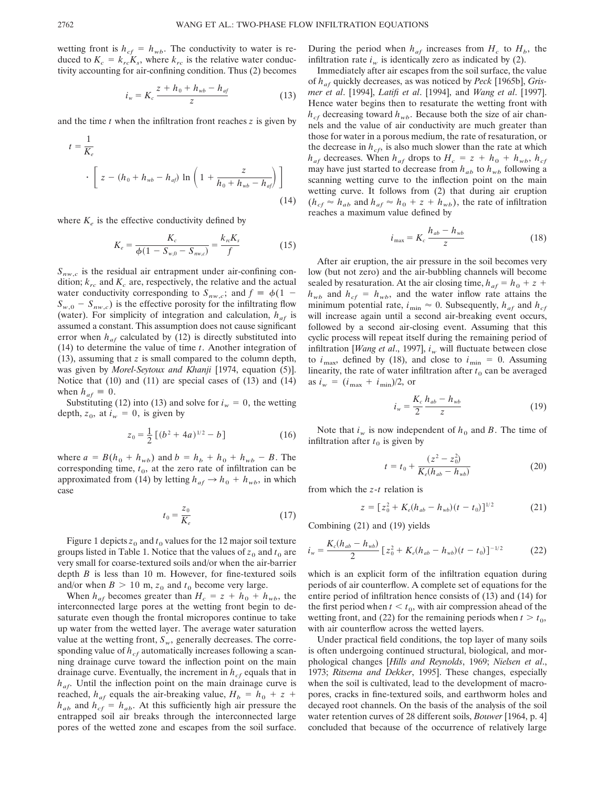wetting front is  $h_{cf} = h_{wb}$ . The conductivity to water is reduced to  $K_c = k_{rc}K_s$ , where  $k_{rc}$  is the relative water conductivity accounting for air-confining condition. Thus (2) becomes

$$
i_w = K_c \frac{z + h_0 + h_{wb} - h_{af}}{z}
$$
 (13)

and the time *t* when the infiltration front reaches *z* is given by

$$
t = \frac{1}{K_e}
$$
  
 
$$
\cdot \left[ z - (h_0 + h_{wb} - h_{af}) \ln \left( 1 + \frac{z}{h_0 + h_{wb} - h_{af}} \right) \right]
$$
 (14)

where  $K_e$  is the effective conductivity defined by

$$
K_e = \frac{K_c}{\phi(1 - S_{w,0} - S_{nw,c})} = \frac{k_{rc}K_s}{f}
$$
(15)

 $S_{nw,c}$  is the residual air entrapment under air-confining condition;  $k_{rc}$  and  $K_c$  are, respectively, the relative and the actual water conductivity corresponding to  $S_{nw,c}$ ; and  $f = \phi(1 S_{w,0} - S_{nw,c}$  is the effective porosity for the infiltrating flow (water). For simplicity of integration and calculation,  $h_{af}$  is assumed a constant. This assumption does not cause significant error when  $h_{af}$  calculated by (12) is directly substituted into (14) to determine the value of time *t*. Another integration of (13), assuming that *z* is small compared to the column depth, was given by *Morel-Seytoux and Khanji* [1974, equation (5)]. Notice that (10) and (11) are special cases of (13) and (14) when  $h_{af} \equiv 0$ .

Substituting (12) into (13) and solve for  $i_w = 0$ , the wetting depth,  $z_0$ , at  $i_w = 0$ , is given by

$$
z_0 = \frac{1}{2} \left[ (b^2 + 4a)^{1/2} - b \right] \tag{16}
$$

where  $a = B(h_0 + h_{wb})$  and  $b = h_b + h_0 + h_{wb} - B$ . The corresponding time,  $t_0$ , at the zero rate of infiltration can be approximated from (14) by letting  $h_{af} \rightarrow h_0 + h_{wb}$ , in which case

$$
t_0 = \frac{z_0}{K_e} \tag{17}
$$

Figure 1 depicts  $z_0$  and  $t_0$  values for the 12 major soil texture groups listed in Table 1. Notice that the values of  $z_0$  and  $t_0$  are very small for coarse-textured soils and/or when the air-barrier depth *B* is less than 10 m. However, for fine-textured soils and/or when  $B > 10$  m,  $z_0$  and  $t_0$  become very large.

When  $h_{af}$  becomes greater than  $H_c = z + h_0 + h_{wb}$ , the interconnected large pores at the wetting front begin to desaturate even though the frontal micropores continue to take up water from the wetted layer. The average water saturation value at the wetting front,  $S_w$ , generally decreases. The corresponding value of  $h_{cf}$  automatically increases following a scanning drainage curve toward the inflection point on the main drainage curve. Eventually, the increment in  $h_{cf}$  equals that in  $h_{af}$ . Until the inflection point on the main drainage curve is reached,  $h_{af}$  equals the air-breaking value,  $H_b = h_0 + z + I_0$  $h_{ab}$  and  $h_{cf} = h_{ab}$ . At this sufficiently high air pressure the entrapped soil air breaks through the interconnected large pores of the wetted zone and escapes from the soil surface.

During the period when  $h_{af}$  increases from  $H_c$  to  $H_b$ , the infiltration rate  $i_w$  is identically zero as indicated by (2).

Immediately after air escapes from the soil surface, the value of *haf* quickly decreases, as was noticed by *Peck* [1965b], *Grismer et al*. [1994], *Latifi et al*. [1994], and *Wang et al*. [1997]. Hence water begins then to resaturate the wetting front with  $h_{cf}$  decreasing toward  $h_{wb}$ . Because both the size of air channels and the value of air conductivity are much greater than those for water in a porous medium, the rate of resaturation, or the decrease in  $h_{cf}$ , is also much slower than the rate at which  $h_{af}$  decreases. When  $h_{af}$  drops to  $H_c = z + h_0 + h_{wb}$ ,  $h_{cf}$ may have just started to decrease from  $h_{ab}$  to  $h_{wb}$  following a scanning wetting curve to the inflection point on the main wetting curve. It follows from (2) that during air eruption  $(h_{cf} \approx h_{ab}$  and  $h_{af} \approx h_0 + z + h_{wb}$ , the rate of infiltration reaches a maximum value defined by

$$
i_{\max} = K_c \frac{h_{ab} - h_{wb}}{z} \tag{18}
$$

After air eruption, the air pressure in the soil becomes very low (but not zero) and the air-bubbling channels will become sealed by resaturation. At the air closing time,  $h_{af} = h_0 + z + I_0$  $h_{wb}$  and  $h_{cf} = h_{wb}$ , and the water inflow rate attains the minimum potential rate,  $i_{\text{min}} \approx 0$ . Subsequently,  $h_{af}$  and  $h_{cf}$ will increase again until a second air-breaking event occurs, followed by a second air-closing event. Assuming that this cyclic process will repeat itself during the remaining period of infiltration [*Wang et al.*, 1997],  $i_w$  will fluctuate between close to  $i_{\text{max}}$ , defined by (18), and close to  $i_{\text{min}} = 0$ . Assuming linearity, the rate of water infiltration after  $t<sub>0</sub>$  can be averaged as  $i_w = (i_{max} + i_{min})/2$ , or

$$
i_w = \frac{K_c}{2} \frac{h_{ab} - h_{wb}}{z}
$$
 (19)

Note that  $i_w$  is now independent of  $h_0$  and B. The time of infiltration after  $t_0$  is given by

$$
t = t_0 + \frac{(z^2 - z_0^2)}{K_e(h_{ab} - h_{wb})}
$$
 (20)

from which the *z*-*t* relation is

$$
z = [z_0^2 + K_e(h_{ab} - h_{wb})(t - t_0)]^{1/2}
$$
 (21)

Combining (21) and (19) yields

$$
i_w = \frac{K_c(h_{ab} - h_{wb})}{2} \left[ z_0^2 + K_e(h_{ab} - h_{wb})(t - t_0) \right]^{-1/2}
$$
 (22)

which is an explicit form of the infiltration equation during periods of air counterflow. A complete set of equations for the entire period of infiltration hence consists of (13) and (14) for the first period when  $t < t_0$ , with air compression ahead of the wetting front, and (22) for the remaining periods when  $t > t_0$ , with air counterflow across the wetted layers.

Under practical field conditions, the top layer of many soils is often undergoing continued structural, biological, and morphological changes [*Hills and Reynolds*, 1969; *Nielsen et al*., 1973; *Ritsema and Dekker*, 1995]. These changes, especially when the soil is cultivated, lead to the development of macropores, cracks in fine-textured soils, and earthworm holes and decayed root channels. On the basis of the analysis of the soil water retention curves of 28 different soils, *Bouwer* [1964, p. 4] concluded that because of the occurrence of relatively large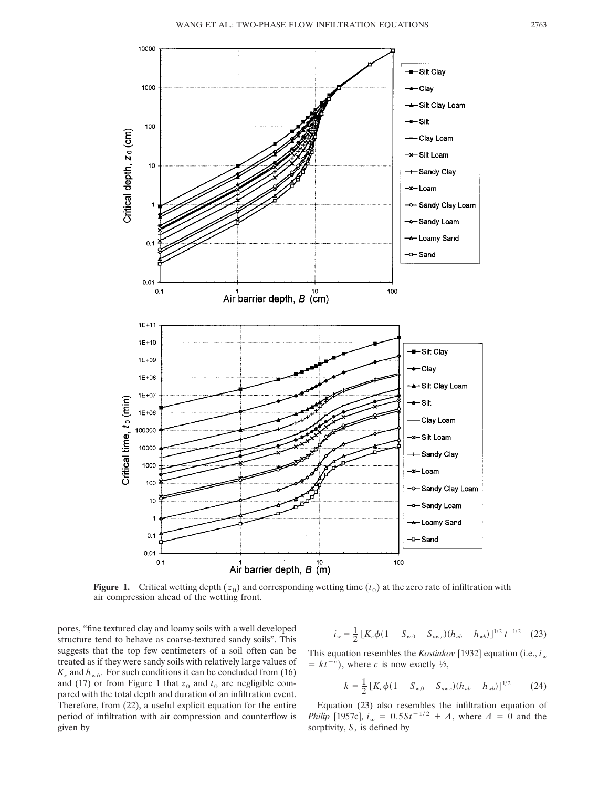

**Figure 1.** Critical wetting depth  $(z_0)$  and corresponding wetting time  $(t_0)$  at the zero rate of infiltration with air compression ahead of the wetting front.

pores, "fine textured clay and loamy soils with a well developed structure tend to behave as coarse-textured sandy soils". This suggests that the top few centimeters of a soil often can be treated as if they were sandy soils with relatively large values of  $K_s$  and  $h_{wb}$ . For such conditions it can be concluded from (16) and (17) or from Figure 1 that  $z_0$  and  $t_0$  are negligible compared with the total depth and duration of an infiltration event. Therefore, from (22), a useful explicit equation for the entire period of infiltration with air compression and counterflow is given by

$$
i_w = \frac{1}{2} \left[ K_c \phi (1 - S_{w,0} - S_{nw,c}) (h_{ab} - h_{wb}) \right]^{1/2} t^{-1/2} \tag{23}
$$

This equation resembles the *Kostiakov* [1932] equation (i.e.,  $i_w$  $= kt^{-c}$ , where *c* is now exactly <sup>1</sup>/2,

$$
k = \frac{1}{2} \left[ K_c \phi (1 - S_{w,0} - S_{nw,c}) (h_{ab} - h_{wb}) \right]^{1/2}
$$
 (24)

Equation (23) also resembles the infiltration equation of *Philip* [1957c],  $i_w = 0.5St^{-1/2} + A$ , where  $A = 0$  and the sorptivity, *S*, is defined by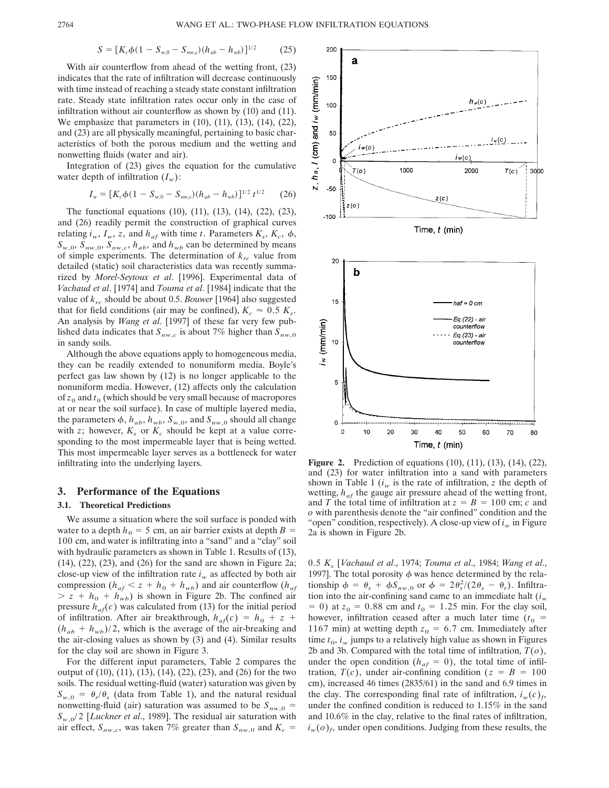$$
S = [K_c \phi (1 - S_{w,0} - S_{nw,c}) (h_{ab} - h_{wb})]^{1/2}
$$
 (25)

With air counterflow from ahead of the wetting front, (23) indicates that the rate of infiltration will decrease continuously with time instead of reaching a steady state constant infiltration rate. Steady state infiltration rates occur only in the case of infiltration without air counterflow as shown by (10) and (11). We emphasize that parameters in (10), (11), (13), (14), (22), and (23) are all physically meaningful, pertaining to basic characteristics of both the porous medium and the wetting and nonwetting fluids (water and air).

Integration of (23) gives the equation for the cumulative water depth of infiltration  $(I_w)$ :

$$
I_w = [K_c \phi (1 - S_{w,0} - S_{nw,c}) (h_{ab} - h_{wb})]^{1/2} t^{1/2}
$$
 (26)

The functional equations (10), (11), (13), (14), (22), (23), and (26) readily permit the construction of graphical curves relating  $i_w$ ,  $I_w$ ,  $z$ , and  $h_{af}$  with time  $t$ . Parameters  $K_s$ ,  $K_c$ ,  $\phi$ ,  $S_{w,0}$ ,  $S_{nw,0}$ ,  $S_{nw,c}$ ,  $h_{ab}$ , and  $h_{wb}$  can be determined by means of simple experiments. The determination of  $k_{rc}$  value from detailed (static) soil characteristics data was recently summarized by *Morel-Seytoux et al*. [1996]. Experimental data of *Vachaud et al*. [1974] and *Touma et al*. [1984] indicate that the value of *krc* should be about 0.5. *Bouwer* [1964] also suggested that for field conditions (air may be confined),  $K_c \approx 0.5$   $K_s$ . An analysis by *Wang et al*. [1997] of these far very few published data indicates that  $S_{nw,c}$  is about 7% higher than  $S_{nw,0}$ in sandy soils.

Although the above equations apply to homogeneous media, they can be readily extended to nonuniform media. Boyle's perfect gas law shown by (12) is no longer applicable to the nonuniform media. However, (12) affects only the calculation of  $z_0$  and  $t_0$  (which should be very small because of macropores at or near the soil surface). In case of multiple layered media, the parameters  $\phi$ ,  $h_{ab}$ ,  $h_{wb}$ ,  $S_{w,0}$ , and  $S_{nw,0}$  should all change with *z*; however,  $K_s$  or  $K_c$  should be kept at a value corresponding to the most impermeable layer that is being wetted. This most impermeable layer serves as a bottleneck for water infiltrating into the underlying layers.

# **3. Performance of the Equations**

## **3.1. Theoretical Predictions**

We assume a situation where the soil surface is ponded with water to a depth  $h_0 = 5$  cm, an air barrier exists at depth  $B =$ 100 cm, and water is infiltrating into a "sand" and a "clay" soil with hydraulic parameters as shown in Table 1. Results of (13), (14), (22), (23), and (26) for the sand are shown in Figure 2a; close-up view of the infiltration rate  $i_w$  as affected by both air compression ( $h_{af} < z + h_0 + h_{wb}$ ) and air counterflow ( $h_{af}$ )  $> z + h_0 + h_{wb}$  is shown in Figure 2b. The confined air pressure  $h_{af}(c)$  was calculated from (13) for the initial period of infiltration. After air breakthrough,  $h_{af}(c) = h_0 + z + z_0$  $(h_{ab} + h_{wb})/2$ , which is the average of the air-breaking and the air-closing values as shown by (3) and (4). Similar results for the clay soil are shown in Figure 3.

For the different input parameters, Table 2 compares the output of (10), (11), (13), (14), (22), (23), and (26) for the two soils. The residual wetting-fluid (water) saturation was given by  $S_{w,0} = \theta_r/\theta_s$  (data from Table 1), and the natural residual nonwetting-fluid (air) saturation was assumed to be  $S_{nw,0}$  = *Sw*,0/2 [*Luckner et al*., 1989]. The residual air saturation with air effect,  $S_{nw,c}$ , was taken 7% greater than  $S_{nw,0}$  and  $K_c =$ 



 $\circ$  $\circ$  $10$ 20 30 40 50 60 70 80 Time,  $t$  (min)

**Figure 2.** Prediction of equations (10), (11), (13), (14), (22), and (23) for water infiltration into a sand with parameters shown in Table 1  $(i_w$  is the rate of infiltration, *z* the depth of wetting,  $h_{af}$  the gauge air pressure ahead of the wetting front, and *T* the total time of infiltration at  $z = B = 100$  cm; *c* and *o* with parenthesis denote the "air confined" condition and the "open" condition, respectively). A close-up view of  $i_w$  in Figure 2a is shown in Figure 2b.

0.5 *Ks* [*Vachaud et al*., 1974; *Touma et al*., 1984; *Wang et al*., 1997]. The total porosity  $\phi$  was hence determined by the relationship  $\phi = \theta_s + \phi S_{nw,0}$  or  $\phi = 2\theta_s^2/(2\theta_s - \theta_r)$ . Infiltration into the air-confining sand came to an immediate halt  $(i_w$  $= 0$ ) at  $z_0 = 0.88$  cm and  $t_0 = 1.25$  min. For the clay soil, however, infiltration ceased after a much later time  $(t_0 =$ 1167 min) at wetting depth  $z_0 = 6.7$  cm. Immediately after time  $t_0$ ,  $i_w$  jumps to a relatively high value as shown in Figures 2b and 3b. Compared with the total time of infiltration, *T*(*o*), under the open condition ( $h_{af} = 0$ ), the total time of infiltration,  $T(c)$ , under air-confining condition ( $z = B = 100$ cm), increased 46 times (2835/61) in the sand and 6.9 times in the clay. The corresponding final rate of infiltration,  $i_w(c)_f$ , under the confined condition is reduced to 1.15% in the sand and 10.6% in the clay, relative to the final rates of infiltration,  $i_w(o)_f$ , under open conditions. Judging from these results, the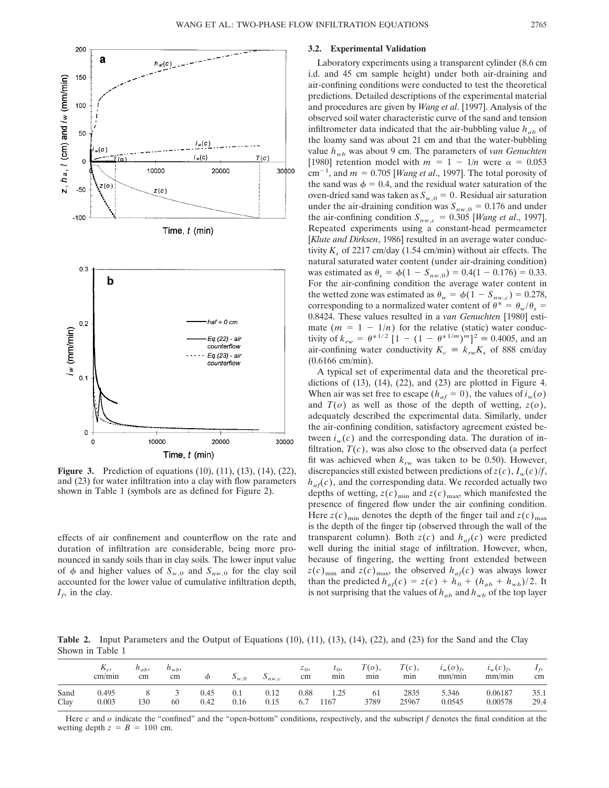

**Figure 3.** Prediction of equations (10), (11), (13), (14), (22), and (23) for water infiltration into a clay with flow parameters shown in Table 1 (symbols are as defined for Figure 2).

effects of air confinement and counterflow on the rate and duration of infiltration are considerable, being more pronounced in sandy soils than in clay soils. The lower input value of  $\phi$  and higher values of  $S_{w,0}$  and  $S_{nw,0}$  for the clay soil accounted for the lower value of cumulative infiltration depth,  $I_f$ , in the clay.

# **3.2. Experimental Validation**

Laboratory experiments using a transparent cylinder (8.6 cm i.d. and 45 cm sample height) under both air-draining and air-confining conditions were conducted to test the theoretical predictions. Detailed descriptions of the experimental material and procedures are given by *Wang et al*. [1997]. Analysis of the observed soil water characteristic curve of the sand and tension infiltrometer data indicated that the air-bubbling value  $h_{ab}$  of the loamy sand was about 21 cm and that the water-bubbling value  $h_{wb}$  was about 9 cm. The parameters of *van Genuchten* [1980] retention model with  $m = 1 - 1/n$  were  $\alpha = 0.053$  $\text{cm}^{-1}$ , and  $m = 0.705$  [*Wang et al.*, 1997]. The total porosity of the sand was  $\phi = 0.4$ , and the residual water saturation of the oven-dried sand was taken as  $S_{w,0} = 0$ . Residual air saturation under the air-draining condition was  $S_{nw,0} = 0.176$  and under the air-confining condition  $S_{nw,c} = 0.305$  [*Wang et al.*, 1997]. Repeated experiments using a constant-head permeameter [*Klute and Dirksen*, 1986] resulted in an average water conductivity  $K_s$  of 2217 cm/day (1.54 cm/min) without air effects. The natural saturated water content (under air-draining condition) was estimated as  $\theta_s = \phi(1 - S_{nw,0}) = 0.4(1 - 0.176) = 0.33$ . For the air-confining condition the average water content in the wetted zone was estimated as  $\theta_w = \phi(1 - S_{nw,c}) = 0.278$ , corresponding to a normalized water content of  $\theta^* = \theta_w/\theta_s =$ 0.8424. These values resulted in a *van Genuchten* [1980] estimate  $(m = 1 - 1/n)$  for the relative (static) water conductivity of  $k_{rw} = \theta^{*1/2} [1 - (1 - \theta^{*1/m})^m]^2 \equiv 0.4005$ , and an air-confining water conductivity  $K_c = k_{rw}K_s$  of 888 cm/day (0.6166 cm/min).

A typical set of experimental data and the theoretical predictions of  $(13)$ ,  $(14)$ ,  $(22)$ , and  $(23)$  are plotted in Figure 4. When air was set free to escape ( $h_{af} = 0$ ), the values of  $i_w(o)$ and  $T(o)$  as well as those of the depth of wetting,  $z(o)$ , adequately described the experimental data. Similarly, under the air-confining condition, satisfactory agreement existed between  $i_w(c)$  and the corresponding data. The duration of infiltration,  $T(c)$ , was also close to the observed data (a perfect fit was achieved when  $k_{rw}$  was taken to be 0.50). However, discrepancies still existed between predictions of  $z(c)$ ,  $I_w(c)/f$ ,  $h_{af}(c)$ , and the corresponding data. We recorded actually two depths of wetting,  $z(c)_{min}$  and  $z(c)_{max}$ , which manifested the presence of fingered flow under the air confining condition. Here  $z(c)_{\text{min}}$  denotes the depth of the finger tail and  $z(c)_{\text{max}}$ is the depth of the finger tip (observed through the wall of the transparent column). Both  $z(c)$  and  $h_{af}(c)$  were predicted well during the initial stage of infiltration. However, when, because of fingering, the wetting front extended between  $z(c)_{\text{min}}$  and  $z(c)_{\text{max}}$ , the observed  $h_{af}(c)$  was always lower than the predicted  $h_{af}(c) = z(c) + h_0 + (h_{ab} + h_{wb})/2$ . It is not surprising that the values of  $h_{ab}$  and  $h_{wb}$  of the top layer

**Table 2.** Input Parameters and the Output of Equations (10), (11), (13), (14), (22), and (23) for the Sand and the Clay Shown in Table 1

|              | $\mathbf{v}_s$<br>cm/min | $n_{ab}$<br>cm | $n_{wb}$<br>cm | Φ            | $\mathcal{D}_{w,0}$ | $v_{nw,c}$   | $z_0$<br>cm | $\iota_0$<br>mın | $T(o)$ ,<br>mın | T(c),<br>min  | $i_w(o)_f$<br>mm/min | $i_w(c)f$<br>mm/min | $I_f$<br>cm  |
|--------------|--------------------------|----------------|----------------|--------------|---------------------|--------------|-------------|------------------|-----------------|---------------|----------------------|---------------------|--------------|
| Sand<br>Clay | 0.495<br>0.003           | 130            | 60             | 0.45<br>0.42 | 0.1<br>0.16         | 0.12<br>0.15 | 0.88<br>6.7 | 1.25<br>1167     | 61<br>3789      | 2835<br>25967 | 5.346<br>0.0545      | 0.06187<br>0.00578  | 35.1<br>29.4 |

Here *c* and *o* indicate the "confined" and the "open-bottom" conditions, respectively, and the subscript *f* denotes the final condition at the wetting depth  $z = B = 100$  cm.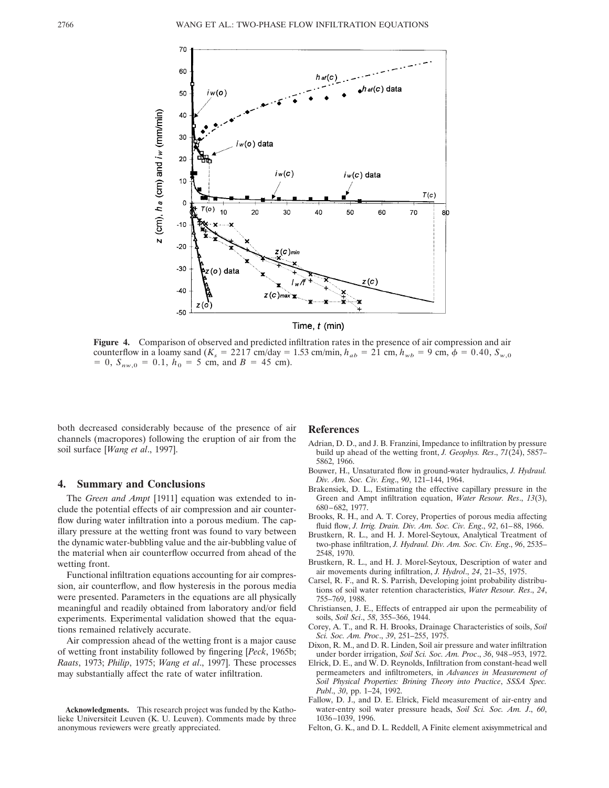

**Figure 4.** Comparison of observed and predicted infiltration rates in the presence of air compression and air counterflow in a loamy sand  $(K_s = 2217 \text{ cm/day} = 1.53 \text{ cm/min}, h_{ab} = 21 \text{ cm}, h_{wb} = 9 \text{ cm}, \phi = 0.40, S_{w,0}$  $= 0$ ,  $S_{nw,0} = 0.1$ ,  $h_0 = 5$  cm, and  $B = 45$  cm).

both decreased considerably because of the presence of air channels (macropores) following the eruption of air from the soil surface [*Wang et al*., 1997].

# **4. Summary and Conclusions**

The *Green and Ampt* [1911] equation was extended to include the potential effects of air compression and air counterflow during water infiltration into a porous medium. The capillary pressure at the wetting front was found to vary between the dynamic water-bubbling value and the air-bubbling value of the material when air counterflow occurred from ahead of the wetting front.

Functional infiltration equations accounting for air compression, air counterflow, and flow hysteresis in the porous media were presented. Parameters in the equations are all physically meaningful and readily obtained from laboratory and/or field experiments. Experimental validation showed that the equations remained relatively accurate.

Air compression ahead of the wetting front is a major cause of wetting front instability followed by fingering [*Peck*, 1965b; *Raats*, 1973; *Philip*, 1975; *Wang et al*., 1997]. These processes may substantially affect the rate of water infiltration.

#### **Acknowledgments.** This research project was funded by the Katholieke Universiteit Leuven (K. U. Leuven). Comments made by three anonymous reviewers were greatly appreciated.

#### **References**

- Adrian, D. D., and J. B. Franzini, Impedance to infiltration by pressure build up ahead of the wetting front, *J. Geophys. Res*., *71*(24), 5857– 5862, 1966.
- Bouwer, H., Unsaturated flow in ground-water hydraulics, *J. Hydraul. Div. Am. Soc. Civ. Eng*., *90*, 121–144, 1964.
- Brakensiek, D. L., Estimating the effective capillary pressure in the Green and Ampt infiltration equation, *Water Resour. Res*., *13*(3), 680–682, 1977.
- Brooks, R. H., and A. T. Corey, Properties of porous media affecting fluid flow, *J. Irrig. Drain. Div. Am. Soc. Civ. Eng*., *92*, 61–88, 1966.
- Brustkern, R. L., and H. J. Morel-Seytoux, Analytical Treatment of two-phase infiltration, *J. Hydraul. Div. Am. Soc. Civ. Eng*., *96*, 2535– 2548, 1970.
- Brustkern, R. L., and H. J. Morel-Seytoux, Description of water and air movements during infiltration, *J. Hydrol*., *24*, 21–35, 1975.
- Carsel, R. F., and R. S. Parrish, Developing joint probability distributions of soil water retention characteristics, *Water Resour. Res*., *24*, 755–769, 1988.
- Christiansen, J. E., Effects of entrapped air upon the permeability of soils, *Soil Sci*., *58*, 355–366, 1944.
- Corey, A. T., and R. H. Brooks, Drainage Characteristics of soils, *Soil Sci. Soc. Am. Proc*., *39*, 251–255, 1975.
- Dixon, R. M., and D. R. Linden, Soil air pressure and water infiltration under border irrigation, *Soil Sci. Soc. Am. Proc*., *36*, 948–953, 1972.
- Elrick, D. E., and W. D. Reynolds, Infiltration from constant-head well permeameters and infiltrometers, in *Advances in Measurement of Soil Physical Properties: Brining Theory into Practice*, *SSSA Spec. Publ*., *30*, pp. 1–24, 1992.
- Fallow, D. J., and D. E. Elrick, Field measurement of air-entry and water-entry soil water pressure heads, *Soil Sci. Soc. Am. J*., *60*, 1036–1039, 1996.
- Felton, G. K., and D. L. Reddell, A Finite element axisymmetrical and